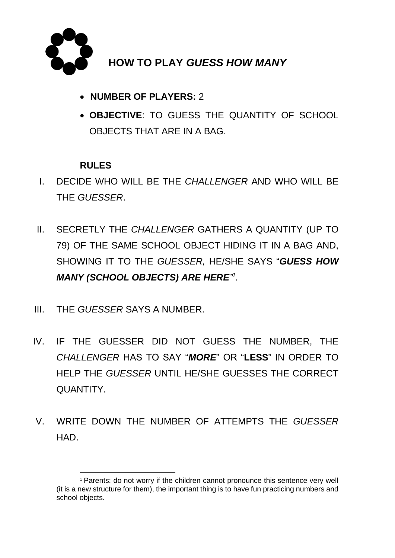

## **HOW TO PLAY** *GUESS HOW MANY*

- **NUMBER OF PLAYERS:** 2
- **OBJECTIVE**: TO GUESS THE QUANTITY OF SCHOOL OBJECTS THAT ARE IN A BAG.

#### **RULES**

- I. DECIDE WHO WILL BE THE *CHALLENGER* AND WHO WILL BE THE *GUESSER*.
- II. SECRETLY THE *CHALLENGER* GATHERS A QUANTITY (UP TO 79) OF THE SAME SCHOOL OBJECT HIDING IT IN A BAG AND, SHOWING IT TO THE *GUESSER,* HE/SHE SAYS "*GUESS HOW MANY (SCHOOL OBJECTS) ARE HERE" 1 .*
- III. THE *GUESSER* SAYS A NUMBER.
- IV. IF THE GUESSER DID NOT GUESS THE NUMBER, THE *CHALLENGER* HAS TO SAY "*MORE*" OR "**LESS**" IN ORDER TO HELP THE *GUESSER* UNTIL HE/SHE GUESSES THE CORRECT QUANTITY.
- V. WRITE DOWN THE NUMBER OF ATTEMPTS THE *GUESSER* HAD.

<sup>&</sup>lt;sup>1</sup> Parents: do not worry if the children cannot pronounce this sentence very well (it is a new structure for them), the important thing is to have fun practicing numbers and school objects.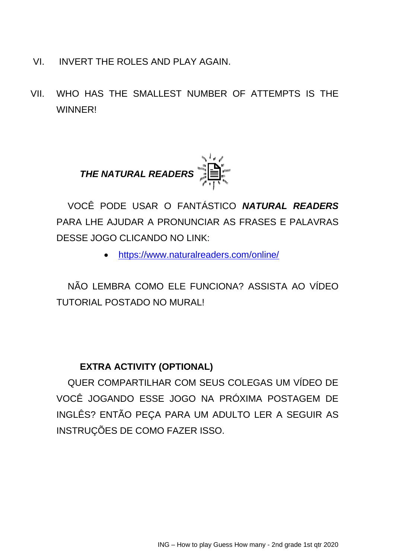- VI. INVERT THE ROLES AND PLAY AGAIN.
- VII. WHO HAS THE SMALLEST NUMBER OF ATTEMPTS IS THE **WINNER!**



VOCÊ PODE USAR O FANTÁSTICO *NATURAL READERS*  PARA LHE AJUDAR A PRONUNCIAR AS FRASES E PALAVRAS DESSE JOGO CLICANDO NO LINK:

• <https://www.naturalreaders.com/online/>

NÃO LEMBRA COMO ELE FUNCIONA? ASSISTA AO VÍDEO TUTORIAL POSTADO NO MURAL!

#### **EXTRA ACTIVITY (OPTIONAL)**

QUER COMPARTILHAR COM SEUS COLEGAS UM VÍDEO DE VOCÊ JOGANDO ESSE JOGO NA PRÓXIMA POSTAGEM DE INGLÊS? ENTÃO PEÇA PARA UM ADULTO LER A SEGUIR AS INSTRUÇÕES DE COMO FAZER ISSO.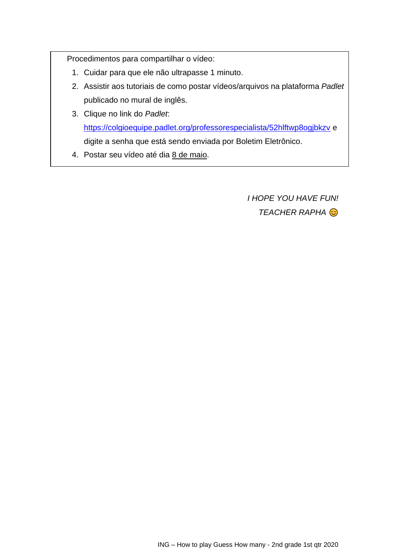Procedimentos para compartilhar o vídeo:

- 1. Cuidar para que ele não ultrapasse 1 minuto.
- 2. Assistir aos tutoriais de como postar vídeos/arquivos na plataforma *Padlet* publicado no mural de inglês.
- 3. Clique no link do *Padlet*: <https://colgioequipe.padlet.org/professorespecialista/52hlftwp8ogjbkzv> e digite a senha que está sendo enviada por Boletim Eletrônico.
- 4. Postar seu vídeo até dia 8 de maio.

*I HOPE YOU HAVE FUN! TEACHER RAPHA*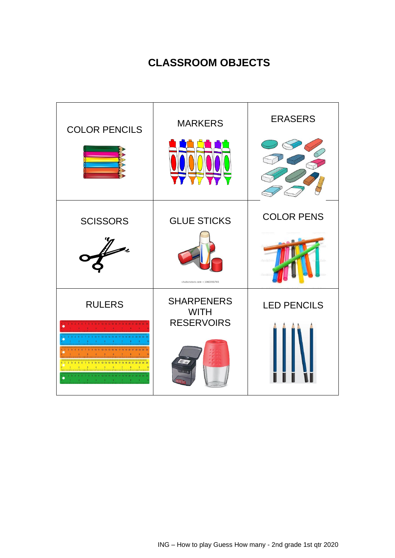# **CLASSROOM OBJECTS**

| <b>COLOR PENCILS</b>                                                | <b>MARKERS</b>                                        | <b>ERASERS</b>     |
|---------------------------------------------------------------------|-------------------------------------------------------|--------------------|
| <b>SCISSORS</b><br>$\not\!\!\!\!\!/$                                | <b>GLUE STICKS</b><br>shutterstock.com · 1060391765   | <b>COLOR PENS</b>  |
| <b>RULERS</b><br>.<br>Innadiunationalmoodunationalmoodunationalmoot | <b>SHARPENERS</b><br><b>WITH</b><br><b>RESERVOIRS</b> | <b>LED PENCILS</b> |